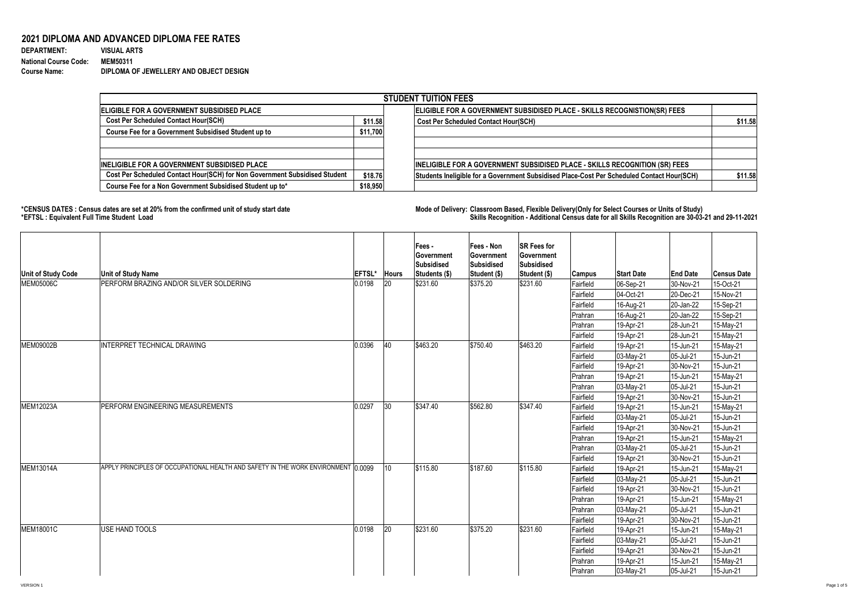## **2021 DIPLOMA AND ADVANCED DIPLOMA FEE RATES**

| <b>DEPARTMENT:</b>           | <b>VISUAL ARTS</b>                     |
|------------------------------|----------------------------------------|
| <b>National Course Code:</b> | <b>MEM50311</b>                        |
| <b>Course Name:</b>          | DIPLOMA OF JEWELLERY AND OBJECT DESIGN |

**\*CENSUS DATES : Census dates are set at 20% from the confirmed unit of study start date Mode of Delivery: Classroom Based, Flexible Delivery(Only for Select Courses or Units of Study) \*EFTSL : Equivalent Full Time Student Load Skills Recognition - Additional Census date for all Skills Recognition are 30-03-21 and 29-11-2021** 

|                                                                            |          | <b>STUDENT TUITION FEES</b>                                                                |         |
|----------------------------------------------------------------------------|----------|--------------------------------------------------------------------------------------------|---------|
| ELIGIBLE FOR A GOVERNMENT SUBSIDISED PLACE                                 |          | ELIGIBLE FOR A GOVERNMENT SUBSIDISED PLACE - SKILLS RECOGNISTION(SR) FEES                  |         |
| <b>Cost Per Scheduled Contact Hour(SCH)</b>                                | \$11.58  | <b>Cost Per Scheduled Contact Hour(SCH)</b>                                                | \$11.58 |
| <b>Course Fee for a Government Subsidised Student up to</b>                | \$11,700 |                                                                                            |         |
| <b>INELIGIBLE FOR A GOVERNMENT SUBSIDISED PLACE</b>                        |          | INELIGIBLE FOR A GOVERNMENT SUBSIDISED PLACE - SKILLS RECOGNITION (SR) FEES                |         |
| Cost Per Scheduled Contact Hour(SCH) for Non Government Subsidised Student | \$18.76  | Students Ineligible for a Government Subsidised Place-Cost Per Scheduled Contact Hour(SCH) | \$11.58 |
| Course Fee for a Non Government Subsidised Student up to*                  | \$18,950 |                                                                                            |         |

| <b>Unit of Study Code</b>                  | <b>Unit of Study Name</b>                                                                    | <b>EFTSL*</b> | <b>Hours</b> | Fees -<br><b>Sovernment</b><br> Subsidised<br>Students (\$) | <b>Fees - Non</b><br><b>Sovernment</b><br><b>Subsidised</b><br>Student (\$) | <b>SR Fees for</b><br>Government<br>Subsidised<br>Student (\$) | Campus         | <b>Start Date</b> | <b>End Date</b> | <b>Census Date</b> |
|--------------------------------------------|----------------------------------------------------------------------------------------------|---------------|--------------|-------------------------------------------------------------|-----------------------------------------------------------------------------|----------------------------------------------------------------|----------------|-------------------|-----------------|--------------------|
| <b>MEM05006C</b>                           | PERFORM BRAZING AND/OR SILVER SOLDERING                                                      | 0.0198        | 20           | \$231.60                                                    | \$375.20                                                                    | \$231.60                                                       | Fairfield      | 06-Sep-21         | 30-Nov-21       | 15-Oct-21          |
|                                            |                                                                                              |               |              |                                                             |                                                                             |                                                                | Fairfield      | $ 04$ -Oct-21     | $ 20 - Dec-21$  | 15-Nov-21          |
|                                            |                                                                                              |               |              |                                                             |                                                                             |                                                                | Fairfield      | 16-Aug-21         | $ 20$ -Jan-22   | 15-Sep-21          |
|                                            |                                                                                              |               |              |                                                             |                                                                             |                                                                | Prahran        | 16-Aug-21         | $ 20$ -Jan-22   | 15-Sep-21          |
|                                            |                                                                                              |               |              |                                                             |                                                                             |                                                                | Prahran        | 19-Apr-21         | $ 28 - Jun-21 $ | 15-May-21          |
|                                            |                                                                                              |               |              |                                                             |                                                                             |                                                                | Fairfield      | $19-Apr-21$       | 28-Jun-21       | 15-May-21          |
| MEM09002B                                  | <b>INTERPRET TECHNICAL DRAWING</b>                                                           | 0.0396        | 40           | \$463.20                                                    | \$750.40                                                                    | \$463.20                                                       | Fairfield      | 19-Apr-21         | 15-Jun-21       | 15-May-21          |
|                                            |                                                                                              |               |              |                                                             |                                                                             |                                                                | Fairfield      | $ 03$ -May-21     | $ 05 -$ Jul-21  | 15-Jun-21          |
|                                            |                                                                                              |               |              |                                                             |                                                                             |                                                                | Fairfield      | 19-Apr-21         | 30-Nov-21       | 15-Jun-21          |
|                                            |                                                                                              |               |              |                                                             |                                                                             |                                                                | <b>Prahran</b> | 19-Apr-21         | 15-Jun-21       | 15-May-21          |
|                                            |                                                                                              |               |              |                                                             |                                                                             |                                                                | Prahran        | 03-May-21         | 05-Jul-21       | 15-Jun-21          |
|                                            |                                                                                              |               |              |                                                             |                                                                             |                                                                | Fairfield      | 19-Apr-21         | 30-Nov-21       | 15-Jun-21          |
|                                            | PERFORM ENGINEERING MEASUREMENTS                                                             | 0.0297        | 30           | \$347.40                                                    | \$562.80                                                                    | \$347.40                                                       | Fairfield      | 19-Apr-21         | 15-Jun-21       | 15-May-21          |
|                                            |                                                                                              |               |              |                                                             |                                                                             |                                                                | Fairfield      | 03-May-21         | 05-Jul-21       | 15-Jun-21          |
|                                            |                                                                                              |               |              |                                                             |                                                                             |                                                                | Fairfield      | 19-Apr-21         | 30-Nov-21       | 15-Jun-21          |
|                                            |                                                                                              |               |              |                                                             |                                                                             |                                                                | Prahran        | 19-Apr-21         | 15-Jun-21       | 15-May-21          |
|                                            |                                                                                              |               |              |                                                             |                                                                             |                                                                | <b>Prahran</b> | $ 03$ -May-21     | $ 05 -$ Jul-21  | 15-Jun-21          |
|                                            | APPLY PRINCIPLES OF OCCUPATIONAL HEALTH AND SAFETY IN THE WORK ENVIRONMENT $\mid\!\! 0.0099$ |               |              |                                                             |                                                                             |                                                                | Fairfield      | 19-Apr-21         | 30-Nov-21       | 15-Jun-21          |
|                                            |                                                                                              |               | $ 10\rangle$ | \$115.80                                                    | \$187.60                                                                    | \$115.80                                                       | Fairfield      | 19-Apr-21         | 15-Jun-21       | 15-May-21          |
|                                            |                                                                                              |               |              |                                                             |                                                                             |                                                                | Fairfield      | $ 03$ -May-21     | $ 05 -$ Jul-21  | 15-Jun-21          |
|                                            |                                                                                              |               |              |                                                             |                                                                             |                                                                | Fairfield      | 19-Apr-21         | 30-Nov-21       | 15-Jun-21          |
|                                            |                                                                                              |               |              |                                                             |                                                                             |                                                                | Prahran        | 19-Apr-21         | 15-Jun-21       | 15-May-21          |
|                                            |                                                                                              |               |              |                                                             |                                                                             |                                                                | Prahran        | $ 03$ -May-21     | $ 05 -$ Jul-21  | 15-Jun-21          |
|                                            | USE HAND TOOLS                                                                               | 0.0198        | 20           | \$231.60                                                    | \$375.20                                                                    | \$231.60                                                       | Fairfield      | 19-Apr-21         | $ 30-Nov-21$    | 15-Jun-21          |
|                                            |                                                                                              |               |              |                                                             |                                                                             |                                                                | Fairfield      | 19-Apr-21         | $ 15$ -Jun-21   | 15-May-21          |
|                                            |                                                                                              |               |              |                                                             |                                                                             |                                                                | Fairfield      | $ 03$ -May-21     | $ 05 -$ Jul-21  | 15-Jun-21          |
| MEM12023A<br><b>MEM13014A</b><br>MEM18001C |                                                                                              |               |              |                                                             |                                                                             |                                                                | Fairfield      | 19-Apr-21         | 30-Nov-21       | 15-Jun-21          |
|                                            |                                                                                              |               |              |                                                             |                                                                             |                                                                | Prahran        | 19-Apr-21         | 15-Jun-21       | 15-May-21          |
|                                            |                                                                                              |               |              |                                                             |                                                                             |                                                                | Prahran        | $ 03$ -May-21     | $ 05 -$ Jul-21  | 15-Jun-21          |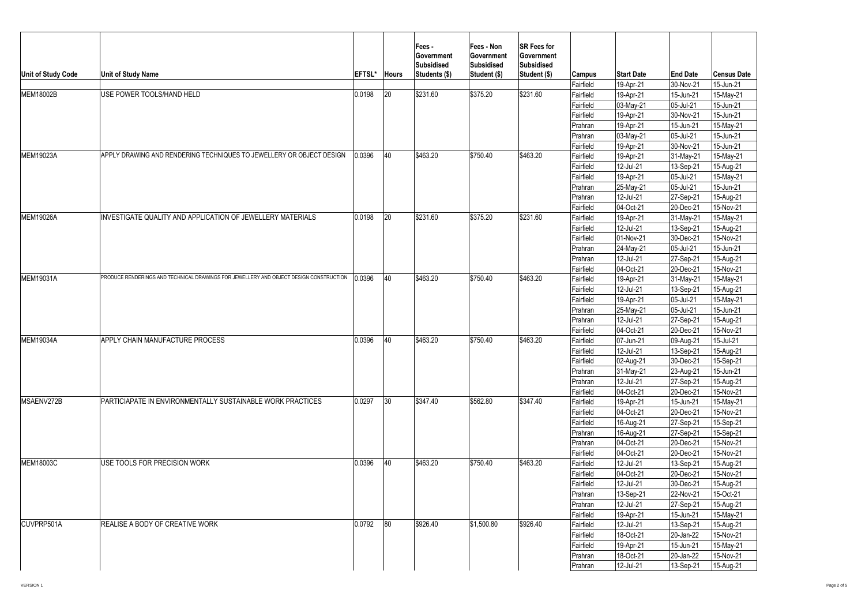| Unit of Study Code                                      | <b>Unit of Study Name</b>                                                              | <b>EFTSL*</b> | <b>Hours</b> | Fees -<br>∣Government<br><b>Subsidised</b><br>Students (\$) | <b>Fees - Non</b><br><b>Sovernment</b><br>Subsidised<br>Student (\$) | <b>SR Fees for</b><br><b>Government</b><br>Subsidised<br>Student (\$) | <b>Campus</b>          | <b>Start Date</b>      | <b>End Date</b>            | Census Date            |
|---------------------------------------------------------|----------------------------------------------------------------------------------------|---------------|--------------|-------------------------------------------------------------|----------------------------------------------------------------------|-----------------------------------------------------------------------|------------------------|------------------------|----------------------------|------------------------|
|                                                         |                                                                                        |               |              |                                                             |                                                                      |                                                                       | Fairfield              | 19-Apr-21              | 30-Nov-21                  | 15-Jun-21              |
|                                                         | USE POWER TOOLS/HAND HELD                                                              | 0.0198        | 20           | \$231.60                                                    | \$375.20                                                             | \$231.60                                                              | Fairfield              | 19-Apr-21              | 15-Jun-21                  | 15-May-21              |
|                                                         |                                                                                        |               |              |                                                             |                                                                      |                                                                       | Fairfield              | 03-May-21              | 05-Jul-21                  | 15-Jun-21              |
|                                                         |                                                                                        |               |              |                                                             |                                                                      |                                                                       | Fairfield              | 19-Apr-21              | 30-Nov-21                  | 15-Jun-21              |
|                                                         |                                                                                        |               |              |                                                             |                                                                      |                                                                       | Prahran                | 19-Apr-21              | 15-Jun-21                  | 15-May-21              |
|                                                         |                                                                                        |               |              |                                                             |                                                                      |                                                                       | Prahran                | 03-May-21              | 05-Jul-21                  | 15-Jun-21<br>15-Jun-21 |
|                                                         | APPLY DRAWING AND RENDERING TECHNIQUES TO JEWELLERY OR OBJECT DESIGN                   | 0.0396        | 40           | \$463.20                                                    | \$750.40                                                             | \$463.20                                                              | Fairfield<br>Fairfield | 19-Apr-21<br>19-Apr-21 | 30-Nov-21                  |                        |
| MEM19023A<br>MEM19026A<br>MEM19031A<br><b>MEM19034A</b> |                                                                                        |               |              |                                                             |                                                                      |                                                                       |                        |                        | 31-May-21                  | 15-May-21              |
|                                                         |                                                                                        |               |              |                                                             |                                                                      |                                                                       | Fairfield<br>Fairfield | 12-Jul-21              | 13-Sep-21                  | 15-Aug-21              |
| MEM18002B<br>MSAENV272B<br>MEM18003C<br>CUVPRP501A      |                                                                                        |               |              |                                                             |                                                                      |                                                                       |                        | 19-Apr-21              | 05-Jul-21<br>05-Jul-21     | 15-May-21<br>15-Jun-21 |
|                                                         |                                                                                        |               |              |                                                             |                                                                      |                                                                       | Prahran                | 25-May-21<br>12-Jul-21 |                            |                        |
|                                                         |                                                                                        |               |              |                                                             |                                                                      |                                                                       | Prahran<br>Fairfield   | 04-Oct-21              | 27-Sep-21                  | 15-Aug-21<br>15-Nov-21 |
|                                                         | INVESTIGATE QUALITY AND APPLICATION OF JEWELLERY MATERIALS                             | 0.0198        | 120          | \$231.60                                                    | \$375.20                                                             | \$231.60                                                              | Fairfield              | 19-Apr-21              | 20-Dec-21                  | 15-May-21              |
|                                                         |                                                                                        |               |              |                                                             |                                                                      |                                                                       | Fairfield              | 12-Jul-21              | $ 31$ -May-21<br>13-Sep-21 | 15-Aug-21              |
|                                                         |                                                                                        |               |              |                                                             |                                                                      |                                                                       | Fairfield              | 01-Nov-21              | $ 30 - Dec-21$             | 15-Nov-21              |
|                                                         |                                                                                        |               |              |                                                             |                                                                      |                                                                       | Prahran                | 24-May-21              | 05-Jul-21                  | 15-Jun-21              |
|                                                         |                                                                                        |               |              |                                                             |                                                                      |                                                                       | Prahran                | 12-Jul-21              | $ 27-Sep-21$               | 15-Aug-21              |
|                                                         |                                                                                        |               |              |                                                             |                                                                      |                                                                       | Fairfield              | 04-Oct-21              | 20-Dec-21                  | 15-Nov-21              |
|                                                         | PRODUCE RENDERINGS AND TECHNICAL DRAWINGS FOR JEWELLERY AND OBJECT DESIGN CONSTRUCTION | 0.0396        | 40           | \$463.20                                                    | \$750.40                                                             | \$463.20                                                              | Fairfield              | 19-Apr-21              | $ 31-May-21$               | 15-May-21              |
|                                                         |                                                                                        |               |              |                                                             |                                                                      |                                                                       | Fairfield              | 12-Jul-21              | 13-Sep-21                  | 15-Aug-21              |
|                                                         |                                                                                        |               |              |                                                             |                                                                      |                                                                       | Fairfield              | 19-Apr-21              | 05-Jul-21                  | 15-May-21              |
|                                                         |                                                                                        |               |              |                                                             |                                                                      |                                                                       | Prahran                | 25-May-21              | 05-Jul-21                  | 15-Jun-21              |
|                                                         |                                                                                        |               |              |                                                             |                                                                      |                                                                       | Prahran                | 12-Jul-21              | 27-Sep-21                  | 15-Aug-21              |
|                                                         |                                                                                        |               |              |                                                             |                                                                      |                                                                       | Fairfield              | 04-Oct-21              | 20-Dec-21                  | 15-Nov-21              |
|                                                         | APPLY CHAIN MANUFACTURE PROCESS                                                        | 0.0396        | 40           | \$463.20                                                    | \$750.40                                                             | \$463.20                                                              | Fairfield              | $ 07 - Jun - 21 $      | 09-Aug-21                  | 15-Jul-21              |
|                                                         |                                                                                        |               |              |                                                             |                                                                      |                                                                       | Fairfield              | 12-Jul-21              | 13-Sep-21                  | 15-Aug-21              |
|                                                         |                                                                                        |               |              |                                                             |                                                                      |                                                                       | Fairfield              | 02-Aug-21              | 30-Dec-21                  | 15-Sep-21              |
|                                                         |                                                                                        |               |              |                                                             |                                                                      |                                                                       | Prahran                | $ 31-May-21 $          | 23-Aug-21                  | 15-Jun-21              |
|                                                         |                                                                                        |               |              |                                                             |                                                                      |                                                                       | Prahran                | 12-Jul-21              | 27-Sep-21                  | 15-Aug-21              |
|                                                         |                                                                                        |               |              |                                                             |                                                                      |                                                                       | Fairfield              | $ 04$ -Oct-21          | 20-Dec-21                  | 15-Nov-21              |
|                                                         | PARTICIAPATE IN ENVIRONMENTALLY SUSTAINABLE WORK PRACTICES                             | 0.0297        | 30           | \$347.40                                                    | \$562.80                                                             | \$347.40                                                              | Fairfield              | 19-Apr-21              | 15-Jun-21                  | 15-May-21              |
|                                                         |                                                                                        |               |              |                                                             |                                                                      |                                                                       | Fairfield              | $ 04$ -Oct-21          | 20-Dec-21                  | 15-Nov-21              |
|                                                         |                                                                                        |               |              |                                                             |                                                                      |                                                                       | Fairfield              | 16-Aug-21              | $ 27-Sep-21$               | $15-Sep-21$            |
|                                                         |                                                                                        |               |              |                                                             |                                                                      |                                                                       | Prahran                | 16-Aug-21              | $ 27-Sep-21$               | 15-Sep-21              |
|                                                         |                                                                                        |               |              |                                                             |                                                                      |                                                                       | Prahran                | 04-Oct-21              | $ 20 - Dec-21 $            | 15-Nov-21              |
|                                                         |                                                                                        |               |              |                                                             |                                                                      |                                                                       | Fairfield              | $ 04 - Oct-21 $        | $ 20 - Dec-21 $            | 15-Nov-21              |
|                                                         | USE TOOLS FOR PRECISION WORK                                                           | 0.0396        | 40           | \$463.20                                                    | \$750.40                                                             | \$463.20                                                              | Fairfield              | 12-Jul-21              | 13-Sep-21                  | 15-Aug-21              |
|                                                         |                                                                                        |               |              |                                                             |                                                                      |                                                                       | Fairfield              | $ 04$ -Oct-21          | 20-Dec-21                  | 15-Nov-21              |
|                                                         |                                                                                        |               |              |                                                             |                                                                      |                                                                       | Fairfield              | 12-Jul-21              | 30-Dec-21                  | 15-Aug-21              |
|                                                         |                                                                                        |               |              |                                                             |                                                                      |                                                                       | Prahran                | 13-Sep-21              | 22-Nov-21                  | 15-Oct-21              |
|                                                         |                                                                                        |               |              |                                                             |                                                                      |                                                                       | Prahran                | 12-Jul-21              | 27-Sep-21                  | 15-Aug-21              |
|                                                         |                                                                                        |               |              |                                                             |                                                                      |                                                                       | Fairfield              | 19-Apr-21              | 15-Jun-21                  | 15-May-21              |
|                                                         | <b>REALISE A BODY OF CREATIVE WORK</b>                                                 | 0.0792        | 80           | \$926.40                                                    | \$1,500.80                                                           | \$926.40                                                              | Fairfield              | 12-Jul-21              | 13-Sep-21                  | 15-Aug-21              |
|                                                         |                                                                                        |               |              |                                                             |                                                                      |                                                                       | Fairfield              | 18-Oct-21              | 20-Jan-22                  | 15-Nov-21              |
|                                                         |                                                                                        |               |              |                                                             |                                                                      |                                                                       | Fairfield              | 19-Apr-21              | 15-Jun-21                  | 15-May-21              |
|                                                         |                                                                                        |               |              |                                                             |                                                                      |                                                                       | Prahran                | 18-Oct-21              | 20-Jan-22                  | 15-Nov-21              |
|                                                         |                                                                                        |               |              |                                                             |                                                                      |                                                                       | <b>Prahran</b>         | 12-Jul-21              | $ 13-Sep-21 $              | 15-Aug-21              |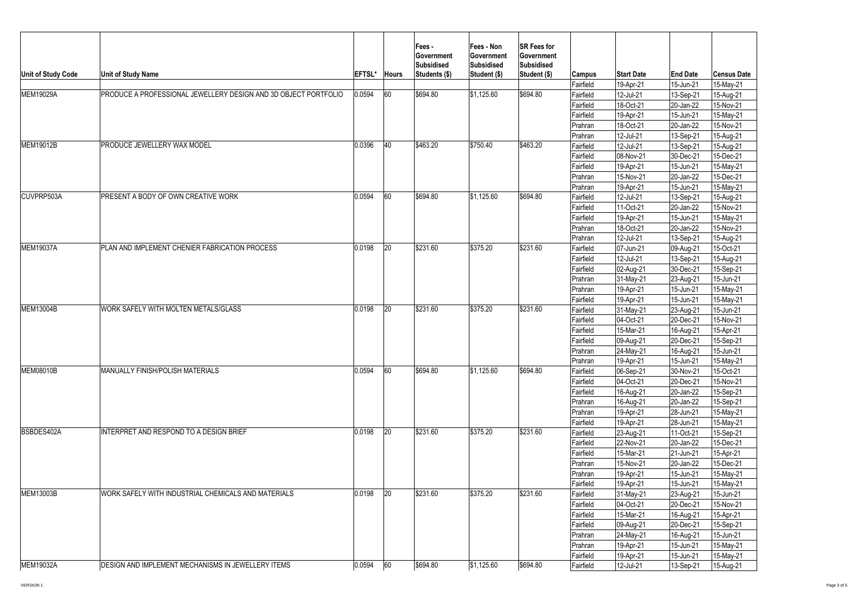| Unit of Study Code                                                                   | <b>Unit of Study Name</b>                                       | <b>EFTSL*</b> | <b>Hours</b> | Fees -<br><b>Government</b><br><b>Subsidised</b><br>Students (\$) | <b>Fees - Non</b><br>∣Government<br><b>Subsidised</b><br><b>Student (\$)</b> | <b>SR Fees for</b><br><b>Government</b><br>Subsidised<br>Student (\$) | <b>Campus</b><br>Fairfield | <b>Start Date</b><br>19-Apr-21 | <b>End Date</b><br>15-Jun-21 | <b>Census Date</b><br>15-May-21 |
|--------------------------------------------------------------------------------------|-----------------------------------------------------------------|---------------|--------------|-------------------------------------------------------------------|------------------------------------------------------------------------------|-----------------------------------------------------------------------|----------------------------|--------------------------------|------------------------------|---------------------------------|
| <b>MEM19029A</b>                                                                     | PRODUCE A PROFESSIONAL JEWELLERY DESIGN AND 3D OBJECT PORTFOLIO | 0.0594        | 60           | \$694.80                                                          | $\frac{1}{1}$ \$1,125.60                                                     | \$694.80                                                              | Fairfield                  | 12-Jul-21                      | 13-Sep-21                    | 15-Aug-21                       |
|                                                                                      |                                                                 |               |              |                                                                   |                                                                              |                                                                       | Fairfield                  | 18-Oct-21                      | $ 20$ -Jan-22                | 15-Nov-21                       |
|                                                                                      |                                                                 |               |              |                                                                   |                                                                              |                                                                       | Fairfield                  | 19-Apr-21                      | 15-Jun-21                    | 15-May-21                       |
|                                                                                      |                                                                 |               |              |                                                                   |                                                                              |                                                                       | Prahran                    | 18-Oct-21                      | $ 20$ -Jan-22                | 15-Nov-21                       |
|                                                                                      |                                                                 |               |              |                                                                   |                                                                              |                                                                       | Prahran                    | 12-Jul-21                      | 13-Sep-21                    | 15-Aug-21                       |
| MEM19012B                                                                            | <b>PRODUCE JEWELLERY WAX MODEL</b>                              | 0.0396        | 40           | \$463.20                                                          | \$750.40                                                                     | \$463.20                                                              | Fairfield                  | 12-Jul-21                      | 13-Sep-21                    | 15-Aug-21                       |
|                                                                                      |                                                                 |               |              |                                                                   |                                                                              |                                                                       | Fairfield                  | 08-Nov-21                      | 30-Dec-21                    | 15-Dec-21                       |
|                                                                                      |                                                                 |               |              |                                                                   |                                                                              |                                                                       | Fairfield                  | 19-Apr-21                      | 15-Jun-21                    | 15-May-21                       |
|                                                                                      |                                                                 |               |              |                                                                   |                                                                              |                                                                       | <b>Prahran</b>             | 15-Nov-21                      | 20-Jan-22                    | 15-Dec-21                       |
|                                                                                      |                                                                 |               |              |                                                                   |                                                                              | <b>Prahran</b>                                                        | 19-Apr-21                  | 15-Jun-21                      | 15-May-21                    |                                 |
| CUVPRP503A                                                                           | <b>PRESENT A BODY OF OWN CREATIVE WORK</b>                      | 0.0594        | 60           | \$694.80                                                          | \$1,125.60                                                                   | \$694.80                                                              | Fairfield                  | 12-Jul-21                      | 13-Sep-21                    | 15-Aug-21                       |
|                                                                                      |                                                                 |               |              |                                                                   |                                                                              |                                                                       | Fairfield                  | 11-Oct-21                      | $ 20$ -Jan-22                | 15-Nov-21                       |
|                                                                                      |                                                                 |               |              |                                                                   |                                                                              |                                                                       | Fairfield                  | 19-Apr-21                      | $15$ -Jun-21                 | 15-May-21                       |
|                                                                                      |                                                                 |               |              |                                                                   |                                                                              |                                                                       | Prahran                    | 18-Oct-21                      | $ 20$ -Jan-22                | 15-Nov-21                       |
|                                                                                      |                                                                 |               |              |                                                                   |                                                                              |                                                                       | <b>Prahran</b>             | 12-Jul-21                      | 13-Sep-21                    | 15-Aug-21                       |
|                                                                                      | PLAN AND IMPLEMENT CHENIER FABRICATION PROCESS                  | 0.0198        | 20           | \$231.60                                                          | \$375.20                                                                     | \$231.60                                                              | Fairfield                  | $ 07 - Jun-21 $                | 09-Aug-21                    | 15-Oct-21                       |
|                                                                                      |                                                                 |               |              |                                                                   |                                                                              |                                                                       | Fairfield                  | 12-Jul-21                      | 13-Sep-21                    | 15-Aug-21                       |
|                                                                                      |                                                                 |               |              |                                                                   |                                                                              |                                                                       | Fairfield                  | 02-Aug-21                      | $ 30 - Dec-21 $              | 15-Sep-21                       |
|                                                                                      |                                                                 |               |              |                                                                   |                                                                              |                                                                       | Prahran                    | $ 31-May-21 $                  | $ 23 - Aug-21$               | 15-Jun-21                       |
|                                                                                      |                                                                 |               |              |                                                                   |                                                                              |                                                                       | Prahran                    | 19-Apr-21                      | $15$ -Jun-21                 | 15-May-21                       |
|                                                                                      |                                                                 |               |              |                                                                   |                                                                              |                                                                       | Fairfield                  | 19-Apr-21                      | 15-Jun-21                    | 15-May-21                       |
|                                                                                      | WORK SAFELY WITH MOLTEN METALS/GLASS                            | 0.0198        | 20           | \$231.60                                                          | \$375.20                                                                     | \$231.60                                                              | Fairfield                  | $ 31-May-21$                   | 23-Aug-21                    | 15-Jun-21                       |
|                                                                                      |                                                                 |               |              |                                                                   |                                                                              |                                                                       | Fairfield                  | $ 04$ -Oct-21                  | 20-Dec-21                    | 15-Nov-21                       |
|                                                                                      |                                                                 |               |              |                                                                   |                                                                              |                                                                       | Fairfield                  | 15-Mar-21                      | 16-Aug-21                    | 15-Apr-21                       |
|                                                                                      |                                                                 |               |              |                                                                   |                                                                              |                                                                       | Fairfield                  | 09-Aug-21                      | 20-Dec-21                    | 15-Sep-21                       |
|                                                                                      |                                                                 |               |              |                                                                   |                                                                              |                                                                       | Prahran                    | $ 24-May-21 $                  | 16-Aug-21                    | 15-Jun-21                       |
|                                                                                      |                                                                 |               |              |                                                                   |                                                                              |                                                                       | Prahran                    | 19-Apr-21                      | 15-Jun-21                    | 15-May-21                       |
|                                                                                      | <b>MANUALLY FINISH/POLISH MATERIALS</b>                         | 0.0594        | 60           | \$694.80                                                          | \$1,125.60                                                                   | \$694.80                                                              | Fairfield                  | 06-Sep-21                      | 30-Nov-21                    | 15-Oct-21                       |
|                                                                                      |                                                                 |               |              |                                                                   |                                                                              |                                                                       | Fairfield                  | $ 04$ -Oct-21                  | 20-Dec-21                    | 15-Nov-21                       |
|                                                                                      |                                                                 |               |              |                                                                   |                                                                              |                                                                       | Fairfield                  | 16-Aug-21                      | $ 20$ -Jan-22                | 15-Sep-21                       |
|                                                                                      |                                                                 |               |              |                                                                   |                                                                              |                                                                       | Prahran                    | 16-Aug-21                      | $ 20$ -Jan-22                | 15-Sep-21                       |
|                                                                                      |                                                                 |               |              |                                                                   |                                                                              |                                                                       | Prahran                    | 19-Apr-21                      | 28-Jun-21                    | 15-May-21                       |
|                                                                                      |                                                                 |               |              |                                                                   |                                                                              |                                                                       | Fairfield                  | 19-Apr-21                      | 28-Jun-21                    | 15-May-21                       |
|                                                                                      | INTERPRET AND RESPOND TO A DESIGN BRIEF                         | 0.0198        | 20           | \$231.60                                                          | \$375.20                                                                     | \$231.60                                                              | Fairfield                  | 23-Aug-21                      | 11-Oct-21                    | 15-Sep-21                       |
|                                                                                      |                                                                 |               |              |                                                                   |                                                                              |                                                                       | Fairfield                  | 22-Nov-21                      | $ 20$ -Jan-22                | 15-Dec-21                       |
|                                                                                      |                                                                 |               |              |                                                                   |                                                                              |                                                                       | Fairfield                  | 15-Mar-21                      | $ 21$ -Jun-21                | 15-Apr-21                       |
|                                                                                      |                                                                 |               |              |                                                                   |                                                                              |                                                                       | <b>Prahran</b>             | 15-Nov-21                      | $ 20$ -Jan-22                | 15-Dec-21                       |
|                                                                                      |                                                                 |               |              |                                                                   |                                                                              |                                                                       | <b>Prahran</b>             | 19-Apr-21                      | 15-Jun-21                    | 15-May-21                       |
|                                                                                      |                                                                 |               |              |                                                                   |                                                                              |                                                                       | <b>Fairfield</b>           | 19-Apr-21                      | 15-Jun-21                    | 15-May-21                       |
|                                                                                      | WORK SAFELY WITH INDUSTRIAL CHEMICALS AND MATERIALS             | 0.0198        | 20           | \$231.60                                                          | \$375.20                                                                     | \$231.60                                                              | Fairfield                  | $ 31-May-21$                   | 23-Aug-21                    | 15-Jun-21                       |
|                                                                                      |                                                                 |               |              |                                                                   |                                                                              |                                                                       | Fairfield                  | $ 04$ -Oct-21                  | 20-Dec-21                    | 15-Nov-21                       |
|                                                                                      |                                                                 |               |              |                                                                   |                                                                              |                                                                       | Fairfield                  | 15-Mar-21                      | 16-Aug-21                    | 15-Apr-21                       |
|                                                                                      |                                                                 |               |              |                                                                   |                                                                              |                                                                       | Fairfield                  | 09-Aug-21                      | 20-Dec-21                    | 15-Sep-21                       |
| <b>MEM19037A</b><br>MEM13004B<br> MEM08010B<br>BSBDES402A<br>MEM13003B<br> MEM19032A |                                                                 |               |              |                                                                   |                                                                              |                                                                       | Prahran                    | $ 24-May-21 $                  | 16-Aug-21                    | 15-Jun-21                       |
|                                                                                      |                                                                 |               |              |                                                                   |                                                                              |                                                                       | Prahran                    | 19-Apr-21                      | 15-Jun-21                    | 15-May-21                       |
|                                                                                      | DESIGN AND IMPLEMENT MECHANISMS IN JEWELLERY ITEMS              | 0.0594        | 60           | \$694.80                                                          | $\frac{1}{1}$ \$1,125.60                                                     | \$694.80                                                              | Fairfield                  | 19-Apr-21                      | 15-Jun-21                    | 15-May-21                       |
|                                                                                      |                                                                 |               |              |                                                                   |                                                                              |                                                                       | Fairfield                  | $ 12$ -Jul-21                  | 13-Sep-21                    | 15-Aug-21                       |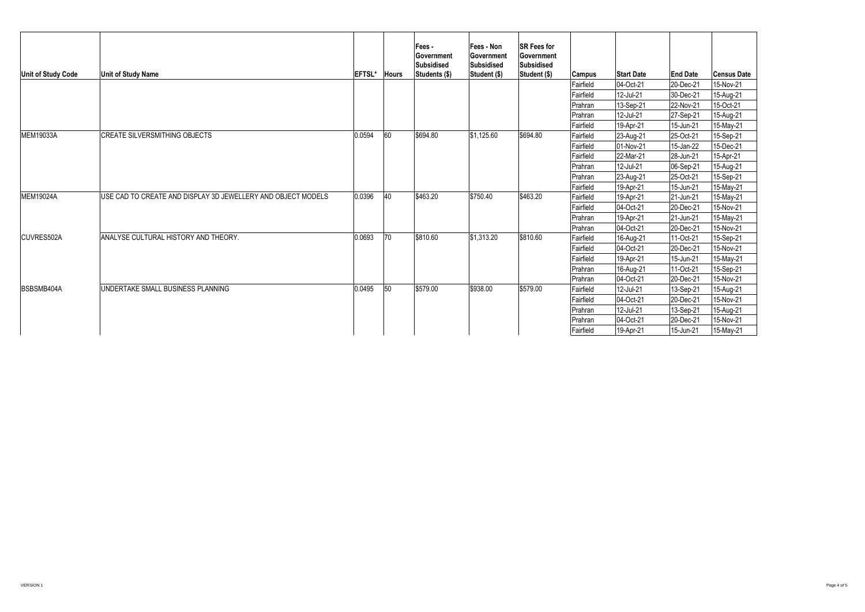| Unit of Study Code | <b>Unit of Study Name</b>                                    | EFTSL* | <b>Hours</b> | <b>Fees -</b><br><b>Government</b><br>Subsidised<br>Students (\$) | <b>Fees - Non</b><br><b>Government</b><br>Subsidised<br>Student (\$) | <b>SR Fees for</b><br><b>Government</b><br><b>Subsidised</b><br>Student (\$) | <b>Campus</b>  | <b>Start Date</b> | <b>End Date</b> | <b>Census Date</b> |
|--------------------|--------------------------------------------------------------|--------|--------------|-------------------------------------------------------------------|----------------------------------------------------------------------|------------------------------------------------------------------------------|----------------|-------------------|-----------------|--------------------|
|                    |                                                              |        |              |                                                                   |                                                                      |                                                                              | Fairfield      | $ 04$ -Oct-21     | 20-Dec-21       | 15-Nov-21          |
|                    |                                                              |        |              |                                                                   |                                                                      |                                                                              | Fairfield      | 12-Jul-21         | 30-Dec-21       | 15-Aug-21          |
|                    |                                                              |        |              |                                                                   |                                                                      |                                                                              | Prahran        | 13-Sep-21         | 22-Nov-21       | 15-Oct-21          |
|                    |                                                              |        |              |                                                                   |                                                                      |                                                                              | Prahran        | 12-Jul-21         | 27-Sep-21       | 15-Aug-21          |
|                    |                                                              |        |              |                                                                   |                                                                      |                                                                              | Fairfield      | 19-Apr-21         | 15-Jun-21       | 15-May-21          |
| MEM19033A          | CREATE SILVERSMITHING OBJECTS                                | 0.0594 | 160          | \$694.80                                                          | \$1,125.60                                                           | \$694.80                                                                     | Fairfield      | 23-Aug-21         | $ 25$ -Oct-21   | 15-Sep-21          |
|                    |                                                              |        |              |                                                                   |                                                                      |                                                                              | Fairfield      | $ 01-Nov-21 $     | 15-Jan-22       | 15-Dec-21          |
|                    |                                                              |        |              |                                                                   |                                                                      |                                                                              | Fairfield      | 22-Mar-21         | 28-Jun-21       | 15-Apr-21          |
|                    |                                                              |        |              |                                                                   |                                                                      |                                                                              | Prahran        | 12-Jul-21         | $ 06-Sep-21$    | 15-Aug-21          |
|                    |                                                              |        |              |                                                                   |                                                                      |                                                                              | Prahran        | $ 23 - Aug-21 $   | 25-Oct-21       | 15-Sep-21          |
|                    |                                                              |        |              |                                                                   |                                                                      |                                                                              | Fairfield      | 19-Apr-21         | 15-Jun-21       | 15-May-21          |
| <b>MEM19024A</b>   | USE CAD TO CREATE AND DISPLAY 3D JEWELLERY AND OBJECT MODELS | 0.0396 | $ 40\rangle$ | \$463.20                                                          | \$750.40                                                             | \$463.20                                                                     | Fairfield      | 19-Apr-21         | $ 21$ -Jun-21   | 15-May-21          |
|                    |                                                              |        |              |                                                                   |                                                                      |                                                                              | Fairfield      | $ 04$ -Oct-21     | 20-Dec-21       | 15-Nov-21          |
|                    |                                                              |        |              |                                                                   |                                                                      |                                                                              | <b>Prahran</b> | 19-Apr-21         | $ 21$ -Jun-21   | 15-May-21          |
|                    |                                                              |        |              |                                                                   |                                                                      |                                                                              | Prahran        | $ 04$ -Oct-21     | $ 20 - Dec-21$  | 15-Nov-21          |
| CUVRES502A         | ANALYSE CULTURAL HISTORY AND THEORY.                         | 0.0693 | 70           | \$810.60                                                          | \$1,313.20                                                           | \$810.60                                                                     | Fairfield      | 16-Aug-21         | 11-Oct-21       | 15-Sep-21          |
|                    |                                                              |        |              |                                                                   |                                                                      |                                                                              | Fairfield      | $ 04 - Oct-21 $   | $ 20 - Dec-21$  | 15-Nov-21          |
|                    |                                                              |        |              |                                                                   |                                                                      |                                                                              | Fairfield      | 19-Apr-21         | 15-Jun-21       | 15-May-21          |
|                    |                                                              |        |              |                                                                   |                                                                      |                                                                              | Prahran        | 16-Aug-21         | $ 11$ -Oct-21   | 15-Sep-21          |
|                    |                                                              |        |              |                                                                   |                                                                      |                                                                              | Prahran        | $ 04$ -Oct-21     | 20-Dec-21       | 15-Nov-21          |
| BSBSMB404A         | UNDERTAKE SMALL BUSINESS PLANNING                            | 0.0495 | 50           | \$579.00                                                          | \$938.00                                                             | \$579.00                                                                     | Fairfield      | 12-Jul-21         | 13-Sep-21       | 15-Aug-21          |
|                    |                                                              |        |              |                                                                   |                                                                      |                                                                              | Fairfield      | $ 04$ -Oct-21     | 20-Dec-21       | 15-Nov-21          |
|                    |                                                              |        |              |                                                                   |                                                                      |                                                                              | Prahran        | 12-Jul-21         | 13-Sep-21       | 15-Aug-21          |
|                    |                                                              |        |              |                                                                   |                                                                      |                                                                              | Prahran        | $ 04$ -Oct-21     | 20-Dec-21       | 15-Nov-21          |
|                    |                                                              |        |              |                                                                   |                                                                      |                                                                              | Fairfield      | 19-Apr-21         | 15-Jun-21       | 15-May-21          |